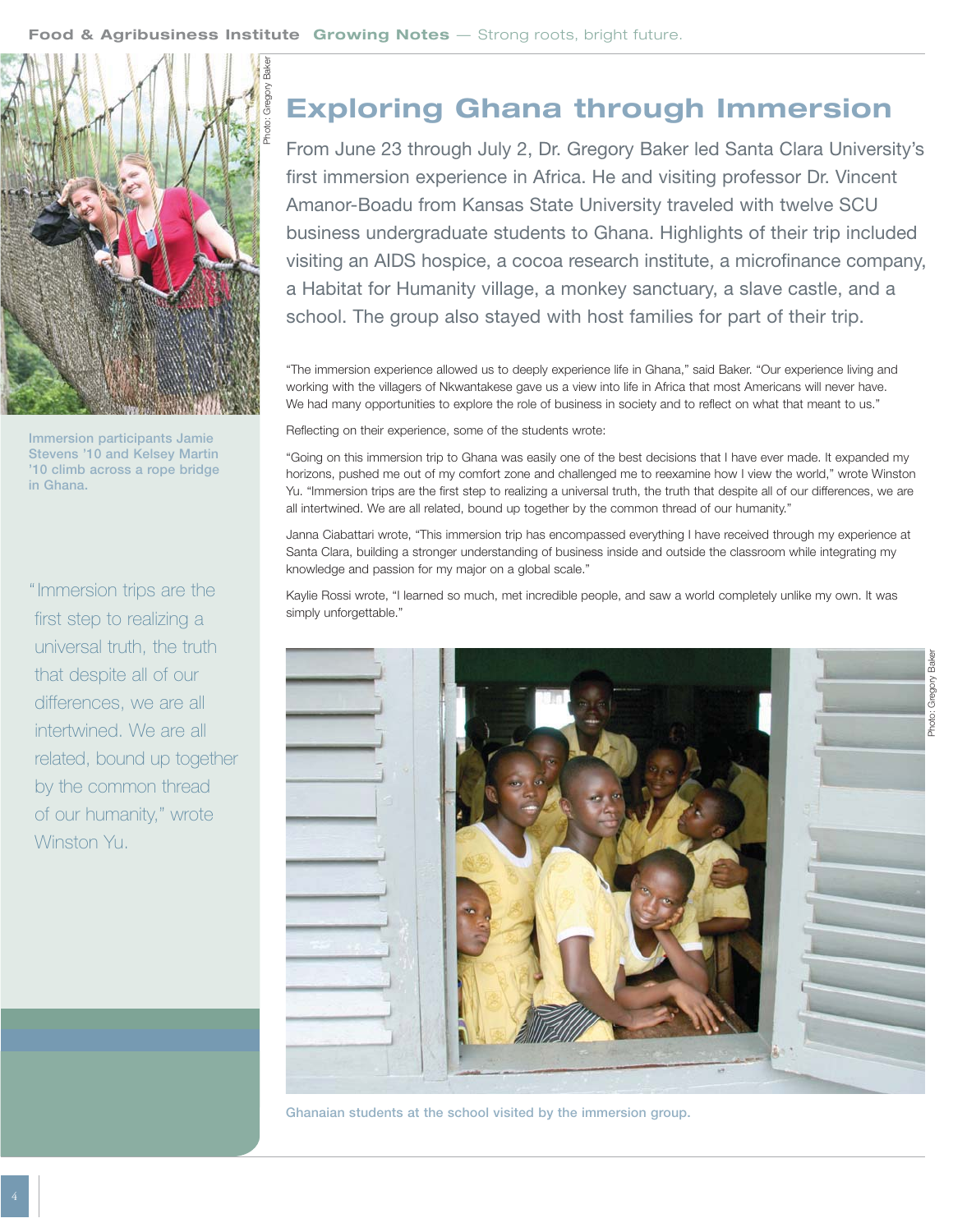

**Immersion participants Jamie Stevens '10 and Kelsey Martin '10 climb across a rope bridge in Ghana.**

" Immersion trips are the first step to realizing a universal truth, the truth that despite all of our differences, we are all intertwined. We are all related, bound up together by the common thread of our humanity," wrote Winston Yu.

## **Exploring Ghana through Immersion**

From June 23 through July 2, Dr. Gregory Baker led Santa Clara University's first immersion experience in Africa. He and visiting professor Dr. Vincent Amanor-Boadu from Kansas State University traveled with twelve SCU business undergraduate students to Ghana. Highlights of their trip included visiting an AIDS hospice, a cocoa research institute, a microfinance company, a Habitat for Humanity village, a monkey sanctuary, a slave castle, and a school. The group also stayed with host families for part of their trip.

"The immersion experience allowed us to deeply experience life in Ghana," said Baker. "Our experience living and working with the villagers of Nkwantakese gave us a view into life in Africa that most Americans will never have. We had many opportunities to explore the role of business in society and to reflect on what that meant to us."

Reflecting on their experience, some of the students wrote:

"Going on this immersion trip to Ghana was easily one of the best decisions that I have ever made. It expanded my horizons, pushed me out of my comfort zone and challenged me to reexamine how I view the world," wrote Winston Yu. "Immersion trips are the first step to realizing a universal truth, the truth that despite all of our differences, we are all intertwined. We are all related, bound up together by the common thread of our humanity."

Janna Ciabattari wrote, "This immersion trip has encompassed everything I have received through my experience at Santa Clara, building a stronger understanding of business inside and outside the classroom while integrating my knowledge and passion for my major on a global scale."

Kaylie Rossi wrote, "I learned so much, met incredible people, and saw a world completely unlike my own. It was simply unforgettable."



**Ghanaian students at the school visited by the immersion group.**